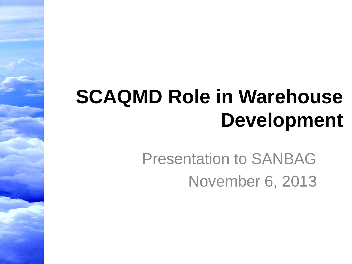### **SCAQMD Role in Warehouse Development**

Presentation to SANBAG November 6, 2013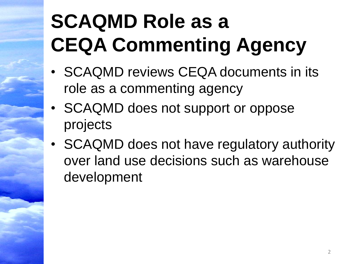# **SCAQMD Role as a CEQA Commenting Agency**

- SCAQMD reviews CEQA documents in its role as a commenting agency
- SCAQMD does not support or oppose projects
- SCAQMD does not have regulatory authority over land use decisions such as warehouse development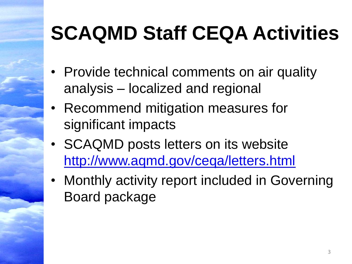### **SCAQMD Staff CEQA Activities**

- Provide technical comments on air quality analysis – localized and regional
- Recommend mitigation measures for significant impacts
- SCAQMD posts letters on its website <http://www.aqmd.gov/ceqa/letters.html>
- Monthly activity report included in Governing Board package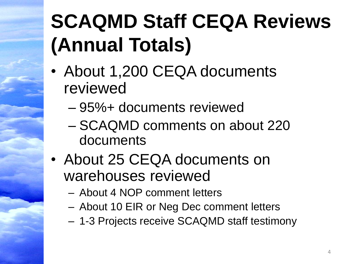# **SCAQMD Staff CEQA Reviews (Annual Totals)**

- About 1,200 CEQA documents reviewed
	- 95%+ documents reviewed
	- SCAQMD comments on about 220 documents
- About 25 CEQA documents on warehouses reviewed
	- About 4 NOP comment letters
	- About 10 EIR or Neg Dec comment letters
	- 1-3 Projects receive SCAQMD staff testimony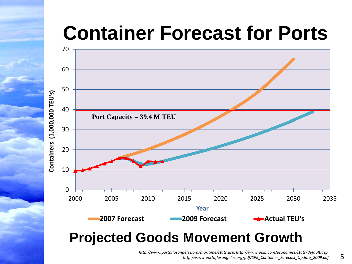### **Container Forecast for Ports**



### **Projected Goods Movement Growth**

*http://www.portoflosangeles.org/maritime/stats.asp, http://www.polb.com/economics/stats/default.asp, http://www.portoflosangeles.org/pdf/SPB\_Container\_Forecast\_Update\_2009.pdf*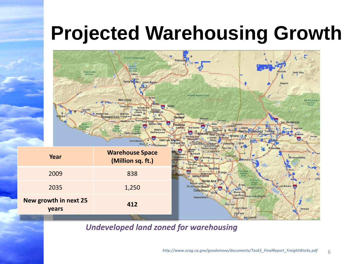### **Projected Warehousing Growth**



*Undeveloped land zoned for warehousing*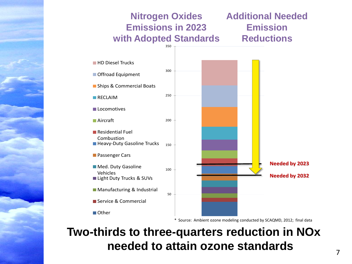

#### **Two-thirds to three-quarters reduction in NOx needed to attain ozone standards**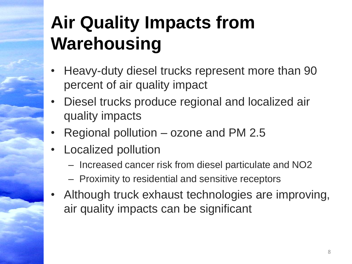### **Air Quality Impacts from Warehousing**

- Heavy-duty diesel trucks represent more than 90 percent of air quality impact
- Diesel trucks produce regional and localized air quality impacts
- Regional pollution ozone and PM 2.5
- Localized pollution
	- Increased cancer risk from diesel particulate and NO2
	- Proximity to residential and sensitive receptors
- Although truck exhaust technologies are improving, air quality impacts can be significant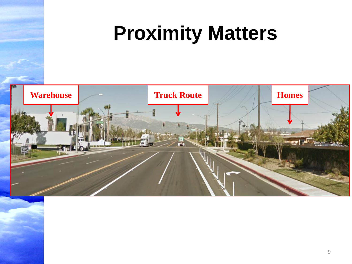### **Proximity Matters**

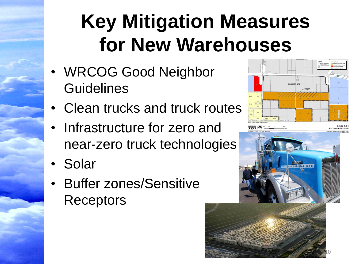### **Key Mitigation Measures for New Warehouses**

- WRCOG Good Neighbor **Guidelines**
- Clean trucks and truck routes
- Infrastructure for zero and near-zero truck technologies
- Solar
- Buffer zones/Sensitive Receptors



 $\blacksquare$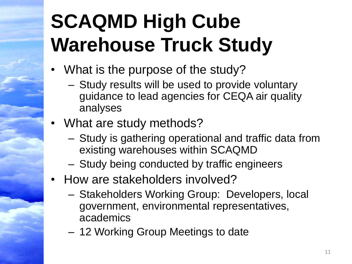# **SCAQMD High Cube Warehouse Truck Study**

- What is the purpose of the study?
	- Study results will be used to provide voluntary guidance to lead agencies for CEQA air quality analyses
- What are study methods?
	- Study is gathering operational and traffic data from existing warehouses within SCAQMD
	- Study being conducted by traffic engineers
- How are stakeholders involved?
	- Stakeholders Working Group: Developers, local government, environmental representatives, academics
	- 12 Working Group Meetings to date